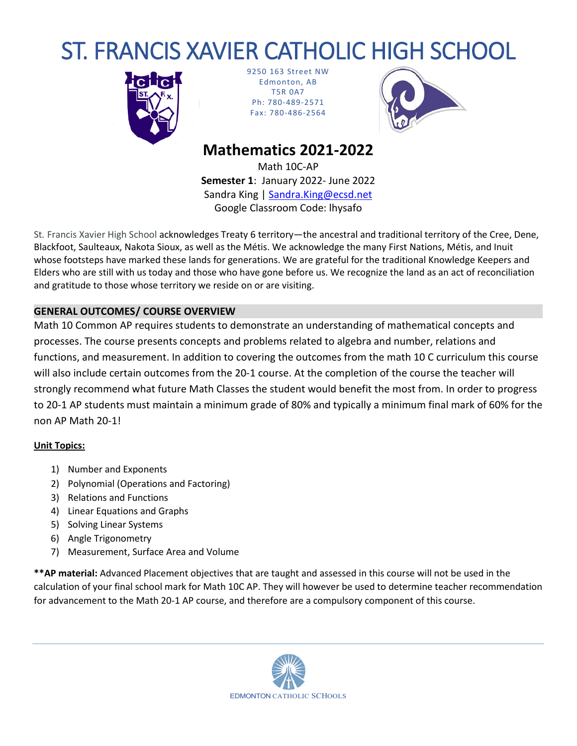# ST. FRANCIS XAVIER CATHOLIC HIGH SCHOOL



9250 163 Street NW Edmonton, AB T5R 0A7 Ph: 780-489-2571 Fax: 780-486-2564



# **Mathematics 2021-2022**

Math 10C-AP **Semester 1**: January 2022- June 2022 Sandra King | [Sandra.King@ecsd.net](mailto:Sandra.King@ecsd.net) Google Classroom Code: lhysafo

St*.* Francis Xavier High School acknowledges Treaty 6 territory—the ancestral and traditional territory of the Cree, Dene, Blackfoot, Saulteaux, Nakota Sioux, as well as the Métis. We acknowledge the many First Nations, Métis, and Inuit whose footsteps have marked these lands for generations. We are grateful for the traditional Knowledge Keepers and Elders who are still with us today and those who have gone before us. We recognize the land as an act of reconciliation and gratitude to those whose territory we reside on or are visiting.

# **GENERAL OUTCOMES/ COURSE OVERVIEW**

Math 10 Common AP requires students to demonstrate an understanding of mathematical concepts and processes. The course presents concepts and problems related to algebra and number, relations and functions, and measurement. In addition to covering the outcomes from the math 10 C curriculum this course will also include certain outcomes from the 20-1 course. At the completion of the course the teacher will strongly recommend what future Math Classes the student would benefit the most from. In order to progress to 20-1 AP students must maintain a minimum grade of 80% and typically a minimum final mark of 60% for the non AP Math 20-1!

## **Unit Topics:**

- 1) Number and Exponents
- 2) Polynomial (Operations and Factoring)
- 3) Relations and Functions
- 4) Linear Equations and Graphs
- 5) Solving Linear Systems
- 6) Angle Trigonometry
- 7) Measurement, Surface Area and Volume

**\*\*AP material:** Advanced Placement objectives that are taught and assessed in this course will not be used in the calculation of your final school mark for Math 10C AP. They will however be used to determine teacher recommendation for advancement to the Math 20-1 AP course, and therefore are a compulsory component of this course.

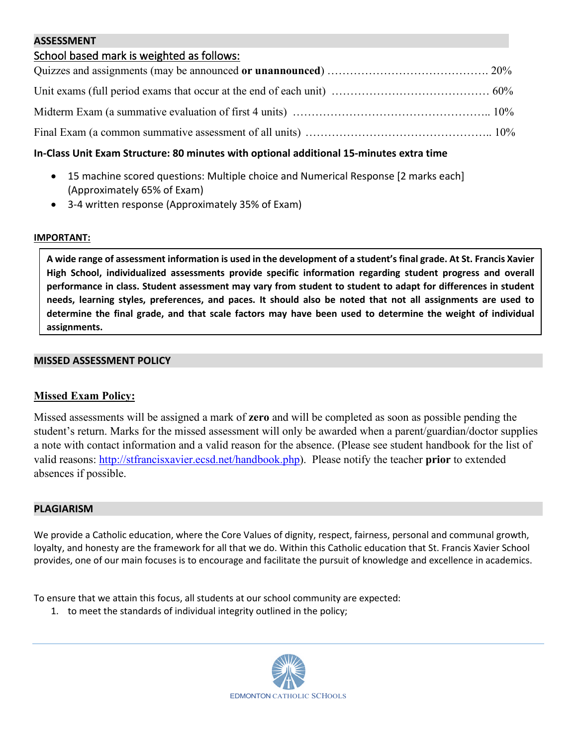#### **ASSESSMENT**

# School based mark is weighted as follows:

### **In-Class Unit Exam Structure: 80 minutes with optional additional 15-minutes extra time**

- 15 machine scored questions: Multiple choice and Numerical Response [2 marks each] (Approximately 65% of Exam)
- 3-4 written response (Approximately 35% of Exam)

#### **IMPORTANT:**

**A wide range of assessment information is used in the development of a student's final grade. At St. Francis Xavier High School, individualized assessments provide specific information regarding student progress and overall performance in class. Student assessment may vary from student to student to adapt for differences in student needs, learning styles, preferences, and paces. It should also be noted that not all assignments are used to determine the final grade, and that scale factors may have been used to determine the weight of individual assignments.**

#### **MISSED ASSESSMENT POLICY**

#### **Missed Exam Policy:**

Missed assessments will be assigned a mark of **zero** and will be completed as soon as possible pending the student's return. Marks for the missed assessment will only be awarded when a parent/guardian/doctor supplies a note with contact information and a valid reason for the absence. (Please see student handbook for the list of valid reasons: [http://stfrancisxavier.ecsd.net/handbook.php\)](http://stfrancisxavier.ecsd.net/handbook.php). Please notify the teacher **prior** to extended absences if possible.

#### **PLAGIARISM**

We provide a Catholic education, where the Core Values of dignity, respect, fairness, personal and communal growth, loyalty, and honesty are the framework for all that we do. Within this Catholic education that St. Francis Xavier School provides, one of our main focuses is to encourage and facilitate the pursuit of knowledge and excellence in academics.

To ensure that we attain this focus, all students at our school community are expected:

1. to meet the standards of individual integrity outlined in the policy;